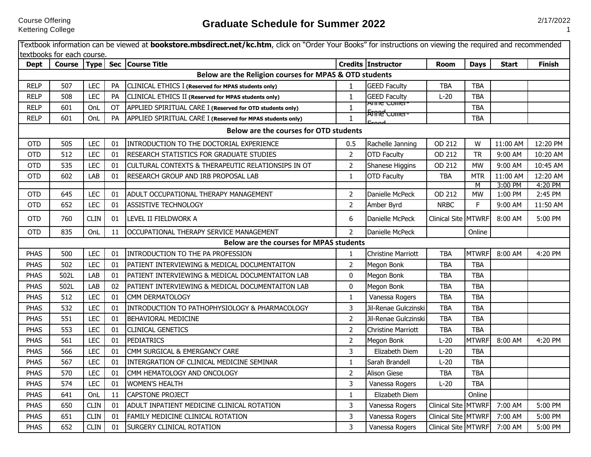Course Offering

|             |                            |             |                        | Textbook information can be viewed at <b>bookstore.mbsdirect.net/kc.htm</b> , click on "Order Your Books" for instructions on viewing the required and recommended |                              |                           |                     |                          |              |               |
|-------------|----------------------------|-------------|------------------------|--------------------------------------------------------------------------------------------------------------------------------------------------------------------|------------------------------|---------------------------|---------------------|--------------------------|--------------|---------------|
|             | textbooks for each course. |             |                        |                                                                                                                                                                    |                              |                           |                     |                          |              |               |
| <b>Dept</b> |                            |             |                        | Course   Type   Sec   Course Title                                                                                                                                 |                              | Credits Instructor        | <b>Room</b>         | <b>Days</b>              | <b>Start</b> | <b>Finish</b> |
| <b>RELP</b> | 507                        | LEC         |                        | Below are the Religion courses for MPAS & OTD students<br>CLINICAL ETHICS I (Reserved for MPAS students only)                                                      |                              | <b>GEED Faculty</b>       | <b>TBA</b>          |                          |              |               |
| <b>RELP</b> | 508                        | <b>LEC</b>  | PA                     |                                                                                                                                                                    | $\mathbf{1}$                 | <b>GEED Faculty</b>       |                     | <b>TBA</b>               |              |               |
| <b>RELP</b> | 601                        | OnL         | <b>PA</b><br><b>OT</b> | CLINICAL ETHICS II (Reserved for MPAS students only)                                                                                                               | $\mathbf{1}$<br>$\mathbf{1}$ | <u>Anne comer</u>         | $L-20$              | <b>TBA</b><br><b>TBA</b> |              |               |
| <b>RELP</b> | 601                        | OnL         | <b>PA</b>              | APPLIED SPIRITUAL CARE I (Reserved for OTD students only)                                                                                                          |                              | <del>  Amed comer-</del>  |                     | <b>TBA</b>               |              |               |
|             |                            |             |                        | APPLIED SPIRITUAL CARE I (Reserved for MPAS students only)                                                                                                         | $\mathbf{1}$                 |                           |                     |                          |              |               |
|             |                            |             |                        | Below are the courses for OTD students                                                                                                                             |                              |                           |                     |                          |              |               |
| <b>OTD</b>  | 505                        | <b>LEC</b>  | 01                     | INTRODUCTION TO THE DOCTORIAL EXPERIENCE                                                                                                                           | 0.5                          | Rachelle Janning          | OD 212              | W                        | 11:00 AM     | 12:20 PM      |
| <b>OTD</b>  | 512                        | LEC         | 01                     | RESEARCH STATISTICS FOR GRADUATE STUDIES                                                                                                                           | $\overline{2}$               | <b>OTD Faculty</b>        | OD 212              | <b>TR</b>                | 9:00 AM      | 10:20 AM      |
| <b>OTD</b>  | 535                        | LEC         | 01                     | CULTURAL CONTEXTS & THERAPEUTIC RELATIONSIPS IN OT                                                                                                                 | $\overline{2}$               | Shanese Higgins           | OD 212              | <b>MW</b>                | 9:00 AM      | 10:45 AM      |
| <b>OTD</b>  | 602                        | LAB         | 01                     | RESEARCH GROUP AND IRB PROPOSAL LAB                                                                                                                                | $\mathbf{1}$                 | <b>OTD Faculty</b>        | <b>TBA</b>          | <b>MTR</b>               | 11:00 AM     | 12:20 AM      |
|             |                            | LEC         |                        |                                                                                                                                                                    |                              |                           |                     | M                        | 3:00 PM      | 4:20 PM       |
| <b>OTD</b>  | 645                        |             | 01                     | ADULT OCCUPATIONAL THERAPY MANAGEMENT                                                                                                                              | $\overline{2}$               | Danielle McPeck           | OD 212              | <b>MW</b>                | 1:00 PM      | 2:45 PM       |
| <b>OTD</b>  | 652                        | LEC         | 01                     | <b>ASSISTIVE TECHNOLOGY</b>                                                                                                                                        | $\overline{2}$               | Amber Byrd                | <b>NRBC</b>         | F.                       | 9:00 AM      | 11:50 AM      |
| <b>OTD</b>  | 760                        | <b>CLIN</b> | 01                     | LEVEL II FIELDWORK A                                                                                                                                               | 6                            | Danielle McPeck           | Clinical Site MTWRF |                          | 8:00 AM      | 5:00 PM       |
| <b>OTD</b>  | 835                        | OnL         | 11                     | OCCUPATIONAL THERAPY SERVICE MANAGEMENT                                                                                                                            | $\overline{2}$               | Danielle McPeck           |                     | Online                   |              |               |
|             |                            |             |                        | Below are the courses for MPAS students                                                                                                                            |                              |                           |                     |                          |              |               |
| <b>PHAS</b> | 500                        | LEC         | 01                     | INTRODUCTION TO THE PA PROFESSION                                                                                                                                  | $\mathbf{1}$                 | <b>Christine Marriott</b> | <b>TBA</b>          | <b>MTWRF</b>             | 8:00 AM      | 4:20 PM       |
| <b>PHAS</b> | 502                        | <b>LEC</b>  | 01                     | PATIENT INTERVIEWING & MEDICAL DOCUMENTAITON                                                                                                                       | $\overline{2}$               | Megon Bonk                | <b>TBA</b>          | <b>TBA</b>               |              |               |
| <b>PHAS</b> | 502L                       | LAB         | 01                     | PATIENT INTERVIEWING & MEDICAL DOCUMENTAITON LAB                                                                                                                   | 0                            | Megon Bonk                | <b>TBA</b>          | <b>TBA</b>               |              |               |
| <b>PHAS</b> | 502L                       | LAB         | 02                     | PATIENT INTERVIEWING & MEDICAL DOCUMENTAITON LAB                                                                                                                   | $\mathbf{0}$                 | Megon Bonk                | <b>TBA</b>          | <b>TBA</b>               |              |               |
| <b>PHAS</b> | 512                        | LEC         | 01                     | CMM DERMATOLOGY                                                                                                                                                    | $\mathbf{1}$                 | Vanessa Rogers            | <b>TBA</b>          | <b>TBA</b>               |              |               |
| PHAS        | 532                        | LEC         | 01                     | INTRODUCTION TO PATHOPHYSIOLOGY & PHARMACOLOGY                                                                                                                     | 3                            | Jil-Renae Gulczinski      | <b>TBA</b>          | <b>TBA</b>               |              |               |
| <b>PHAS</b> | 551                        | LEC         | 01                     | BEHAVIORAL MEDICINE                                                                                                                                                | $\overline{2}$               | Jil-Renae Gulczinski      | <b>TBA</b>          | <b>TBA</b>               |              |               |
| <b>PHAS</b> | 553                        | <b>LEC</b>  | 01                     | <b>CLINICAL GENETICS</b>                                                                                                                                           | $\overline{2}$               | <b>Christine Marriott</b> | <b>TBA</b>          | <b>TBA</b>               |              |               |
| <b>PHAS</b> | 561                        | LEC         | 01                     | <b>PEDIATRICS</b>                                                                                                                                                  | $\overline{2}$               | Megon Bonk                | $L-20$              | <b>MTWRF</b>             | 8:00 AM      | 4:20 PM       |
| <b>PHAS</b> | 566                        | LEC         | 01                     | CMM SURGICAL & EMERGANCY CARE                                                                                                                                      | 3                            | Elizabeth Diem            | $L-20$              | <b>TBA</b>               |              |               |
| <b>PHAS</b> | 567                        | LEC         | 01                     | INTERGRATION OF CLINICAL MEDICINE SEMINAR                                                                                                                          | $\mathbf{1}$                 | Sarah Brandell            | $L-20$              | <b>TBA</b>               |              |               |
| <b>PHAS</b> | 570                        | LEC         | 01                     | CMM HEMATOLOGY AND ONCOLOGY                                                                                                                                        | $\overline{2}$               | <b>Alison Giese</b>       | <b>TBA</b>          | <b>TBA</b>               |              |               |
| PHAS        | 574                        | LEC         | 01                     | <b>WOMEN'S HEALTH</b>                                                                                                                                              | 3                            | Vanessa Rogers            | $L-20$              | <b>TBA</b>               |              |               |
| <b>PHAS</b> | 641                        | OnL         | 11                     | <b>CAPSTONE PROJECT</b>                                                                                                                                            | $\mathbf{1}$                 | Elizabeth Diem            |                     | Online                   |              |               |
| <b>PHAS</b> | 650                        | <b>CLIN</b> | 01                     | ADULT INPATIENT MEDICINE CLINICAL ROTATION                                                                                                                         | 3                            | Vanessa Rogers            | Clinical Site MTWRF |                          | 7:00 AM      | 5:00 PM       |
| <b>PHAS</b> | 651                        | <b>CLIN</b> | 01                     | FAMILY MEDICINE CLINICAL ROTATION                                                                                                                                  | $\overline{3}$               | Vanessa Rogers            | Clinical Site MTWRF |                          | 7:00 AM      | 5:00 PM       |
| <b>PHAS</b> | 652                        | <b>CLIN</b> | 01                     | <b>SURGERY CLINICAL ROTATION</b>                                                                                                                                   | 3                            | Vanessa Rogers            | Clinical Site MTWRF |                          | 7:00 AM      | 5:00 PM       |

1